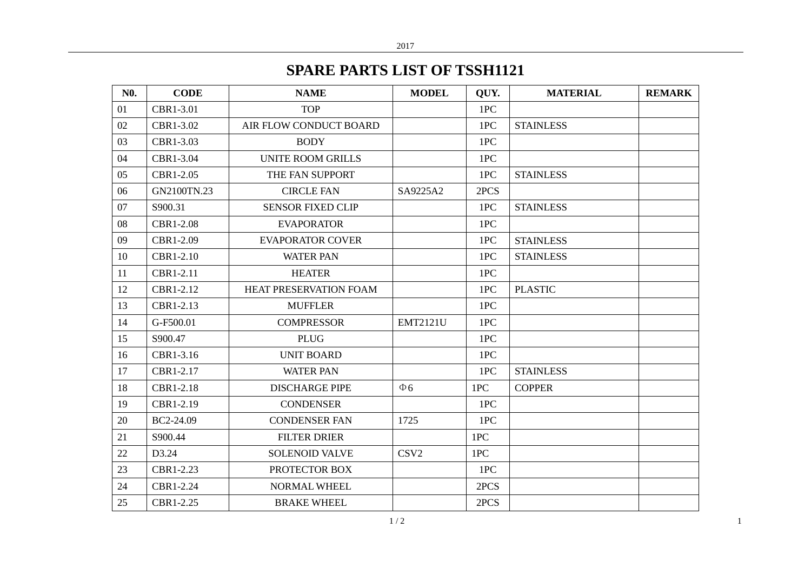## **SPARE PARTS LIST OF TSSH1121**

| <b>N0.</b> | <b>CODE</b> | <b>NAME</b>              | <b>MODEL</b>     | QUY. | <b>MATERIAL</b>  | <b>REMARK</b> |
|------------|-------------|--------------------------|------------------|------|------------------|---------------|
| 01         | CBR1-3.01   | <b>TOP</b>               |                  | 1PC  |                  |               |
| 02         | CBR1-3.02   | AIR FLOW CONDUCT BOARD   |                  | 1PC  | <b>STAINLESS</b> |               |
| 03         | CBR1-3.03   | <b>BODY</b>              |                  | 1PC  |                  |               |
| 04         | CBR1-3.04   | <b>UNITE ROOM GRILLS</b> |                  | 1PC  |                  |               |
| 05         | CBR1-2.05   | THE FAN SUPPORT          |                  | 1PC  | <b>STAINLESS</b> |               |
| 06         | GN2100TN.23 | <b>CIRCLE FAN</b>        | SA9225A2         | 2PCS |                  |               |
| 07         | S900.31     | <b>SENSOR FIXED CLIP</b> |                  | 1PC  | <b>STAINLESS</b> |               |
| 08         | CBR1-2.08   | <b>EVAPORATOR</b>        |                  | 1PC  |                  |               |
| 09         | CBR1-2.09   | <b>EVAPORATOR COVER</b>  |                  | 1PC  | <b>STAINLESS</b> |               |
| 10         | CBR1-2.10   | <b>WATER PAN</b>         |                  | 1PC  | <b>STAINLESS</b> |               |
| 11         | CBR1-2.11   | <b>HEATER</b>            |                  | 1PC  |                  |               |
| 12         | CBR1-2.12   | HEAT PRESERVATION FOAM   |                  | 1PC  | <b>PLASTIC</b>   |               |
| 13         | CBR1-2.13   | <b>MUFFLER</b>           |                  | 1PC  |                  |               |
| 14         | G-F500.01   | <b>COMPRESSOR</b>        | <b>EMT2121U</b>  | 1PC  |                  |               |
| 15         | S900.47     | <b>PLUG</b>              |                  | 1PC  |                  |               |
| 16         | CBR1-3.16   | <b>UNIT BOARD</b>        |                  | 1PC  |                  |               |
| 17         | CBR1-2.17   | <b>WATER PAN</b>         |                  | 1PC  | <b>STAINLESS</b> |               |
| 18         | CBR1-2.18   | <b>DISCHARGE PIPE</b>    | $\Phi$ 6         | 1PC  | <b>COPPER</b>    |               |
| 19         | CBR1-2.19   | <b>CONDENSER</b>         |                  | 1PC  |                  |               |
| 20         | BC2-24.09   | <b>CONDENSER FAN</b>     | 1725             | 1PC  |                  |               |
| 21         | S900.44     | <b>FILTER DRIER</b>      |                  | 1PC  |                  |               |
| 22         | D3.24       | <b>SOLENOID VALVE</b>    | CSV <sub>2</sub> | 1PC  |                  |               |
| 23         | CBR1-2.23   | PROTECTOR BOX            |                  | 1PC  |                  |               |
| 24         | CBR1-2.24   | NORMAL WHEEL             |                  | 2PCS |                  |               |
| 25         | CBR1-2.25   | <b>BRAKE WHEEL</b>       |                  | 2PCS |                  |               |